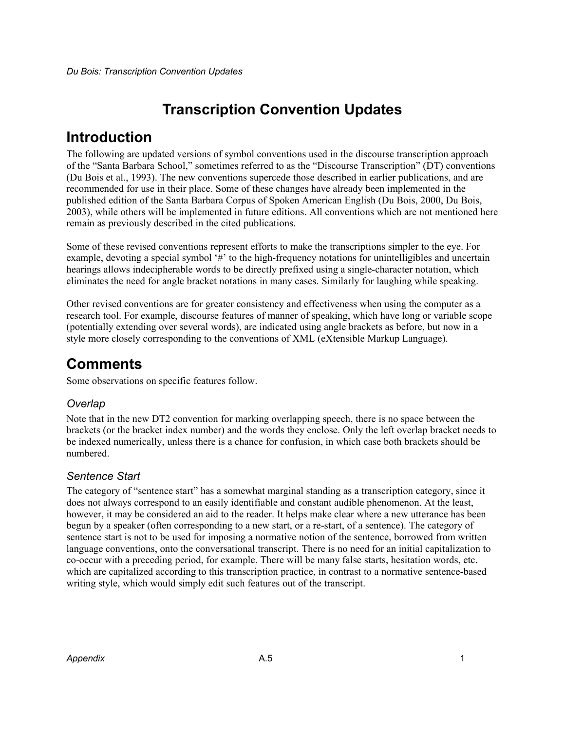# **Transcription Convention Updates**

# **Introduction**

The following are updated versions of symbol conventions used in the discourse transcription approach of the "Santa Barbara School," sometimes referred to as the "Discourse Transcription" (DT) conventions (Du Bois et al., 1993). The new conventions supercede those described in earlier publications, and are recommended for use in their place. Some of these changes have already been implemented in the published edition of the Santa Barbara Corpus of Spoken American English (Du Bois, 2000, Du Bois, 2003), while others will be implemented in future editions. All conventions which are not mentioned here remain as previously described in the cited publications.

Some of these revised conventions represent efforts to make the transcriptions simpler to the eye. For example, devoting a special symbol '#' to the high-frequency notations for unintelligibles and uncertain hearings allows indecipherable words to be directly prefixed using a single-character notation, which eliminates the need for angle bracket notations in many cases. Similarly for laughing while speaking.

Other revised conventions are for greater consistency and effectiveness when using the computer as a research tool. For example, discourse features of manner of speaking, which have long or variable scope (potentially extending over several words), are indicated using angle brackets as before, but now in a style more closely corresponding to the conventions of XML (eXtensible Markup Language).

# **Comments**

Some observations on specific features follow.

## *Overlap*

Note that in the new DT2 convention for marking overlapping speech, there is no space between the brackets (or the bracket index number) and the words they enclose. Only the left overlap bracket needs to be indexed numerically, unless there is a chance for confusion, in which case both brackets should be numbered.

## *Sentence Start*

The category of "sentence start" has a somewhat marginal standing as a transcription category, since it does not always correspond to an easily identifiable and constant audible phenomenon. At the least, however, it may be considered an aid to the reader. It helps make clear where a new utterance has been begun by a speaker (often corresponding to a new start, or a re-start, of a sentence). The category of sentence start is not to be used for imposing a normative notion of the sentence, borrowed from written language conventions, onto the conversational transcript. There is no need for an initial capitalization to co-occur with a preceding period, for example. There will be many false starts, hesitation words, etc. which are capitalized according to this transcription practice, in contrast to a normative sentence-based writing style, which would simply edit such features out of the transcript.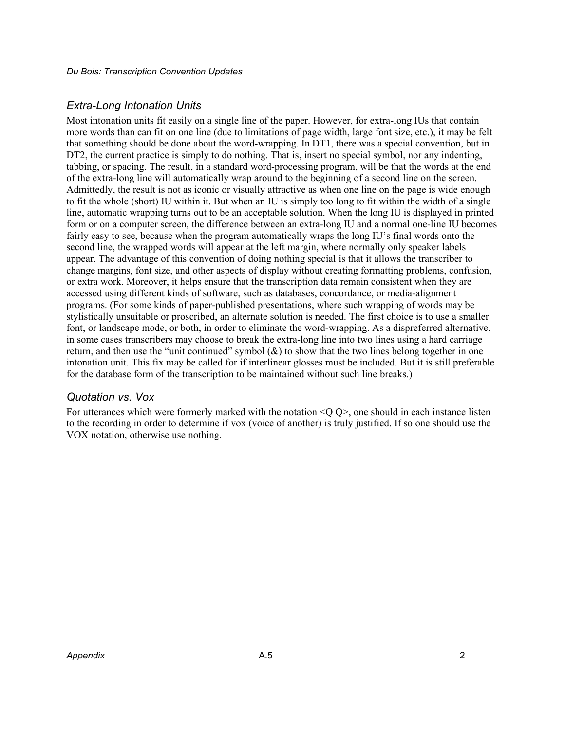## *Extra-Long Intonation Units*

Most intonation units fit easily on a single line of the paper. However, for extra-long IUs that contain more words than can fit on one line (due to limitations of page width, large font size, etc.), it may be felt that something should be done about the word-wrapping. In DT1, there was a special convention, but in DT2, the current practice is simply to do nothing. That is, insert no special symbol, nor any indenting, tabbing, or spacing. The result, in a standard word-processing program, will be that the words at the end of the extra-long line will automatically wrap around to the beginning of a second line on the screen. Admittedly, the result is not as iconic or visually attractive as when one line on the page is wide enough to fit the whole (short) IU within it. But when an IU is simply too long to fit within the width of a single line, automatic wrapping turns out to be an acceptable solution. When the long IU is displayed in printed form or on a computer screen, the difference between an extra-long IU and a normal one-line IU becomes fairly easy to see, because when the program automatically wraps the long IU's final words onto the second line, the wrapped words will appear at the left margin, where normally only speaker labels appear. The advantage of this convention of doing nothing special is that it allows the transcriber to change margins, font size, and other aspects of display without creating formatting problems, confusion, or extra work. Moreover, it helps ensure that the transcription data remain consistent when they are accessed using different kinds of software, such as databases, concordance, or media-alignment programs. (For some kinds of paper-published presentations, where such wrapping of words may be stylistically unsuitable or proscribed, an alternate solution is needed. The first choice is to use a smaller font, or landscape mode, or both, in order to eliminate the word-wrapping. As a dispreferred alternative, in some cases transcribers may choose to break the extra-long line into two lines using a hard carriage return, and then use the "unit continued" symbol  $(\&)$  to show that the two lines belong together in one intonation unit. This fix may be called for if interlinear glosses must be included. But it is still preferable for the database form of the transcription to be maintained without such line breaks.)

#### *Quotation vs. Vox*

For utterances which were formerly marked with the notation <Q Q>, one should in each instance listen to the recording in order to determine if vox (voice of another) is truly justified. If so one should use the VOX notation, otherwise use nothing.